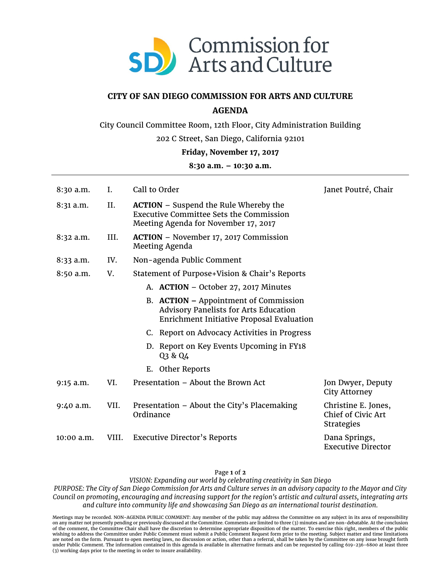

## **CITY OF SAN DIEGO COMMISSION FOR ARTS AND CULTURE**

# **AGENDA**

City Council Committee Room, 12th Floor, City Administration Building

202 C Street, San Diego, California 92101

### **Friday, November 17, 2017**

### **8:30 a.m. – 10:30 a.m.**

| $8:30$ a.m. | I.    | Call to Order                                                                                                                          | Janet Poutré, Chair                                                   |
|-------------|-------|----------------------------------------------------------------------------------------------------------------------------------------|-----------------------------------------------------------------------|
| 8:31 a.m.   | II.   | <b>ACTION</b> – Suspend the Rule Whereby the<br><b>Executive Committee Sets the Commission</b><br>Meeting Agenda for November 17, 2017 |                                                                       |
| $8:32$ a.m. | III.  | <b>ACTION</b> – November 17, 2017 Commission<br>Meeting Agenda                                                                         |                                                                       |
| 8:33 a.m.   | IV.   | Non-agenda Public Comment                                                                                                              |                                                                       |
| 8:50 a.m.   | V.    | Statement of Purpose+Vision & Chair's Reports                                                                                          |                                                                       |
|             |       | A. ACTION - October 27, 2017 Minutes                                                                                                   |                                                                       |
|             |       | B. ACTION – Appointment of Commission<br><b>Advisory Panelists for Arts Education</b><br>Enrichment Initiative Proposal Evaluation     |                                                                       |
|             |       | C. Report on Advocacy Activities in Progress                                                                                           |                                                                       |
|             |       | D. Report on Key Events Upcoming in FY18<br>Q3 & Q4                                                                                    |                                                                       |
|             |       | E. Other Reports                                                                                                                       |                                                                       |
| 9:15 a.m.   | VI.   | Presentation - About the Brown Act                                                                                                     | Jon Dwyer, Deputy<br>City Attorney                                    |
| 9:40 a.m.   | VII.  | Presentation – About the City's Placemaking<br>Ordinance                                                                               | Christine E. Jones,<br><b>Chief of Civic Art</b><br><b>Strategies</b> |
| 10:00 a.m.  | VIII. | <b>Executive Director's Reports</b>                                                                                                    | Dana Springs,<br><b>Executive Director</b>                            |

#### Page **1** of **2**

*VISION: Expanding our world by celebrating creativity in San Diego*

*PURPOSE: The City of San Diego Commission for Arts and Culture serves in an advisory capacity to the Mayor and City Council on promoting, encouraging and increasing support for the region's artistic and cultural assets, integrating arts and culture into community life and showcasing San Diego as an international tourist destination.*

Meetings may be recorded. NON-AGENDA PUBLIC COMMENT: Any member of the public may address the Committee on any subject in its area of responsibility<br>on any matter not presently pending or previously discussed at the Commit wishing to address the Committee under Public Comment must submit a Public Comment Request form prior to the meeting. Subject matter and time limitations are noted on the form. Pursuant to open meeting laws, no discussion or action, other than a referral, shall be taken by the Committee on any issue brought forth under Public Comment. The information contained in this agenda is available in alternative formats and can be requested by calling 619-236-6800 at least three (3) working days prior to the meeting in order to insure availability.